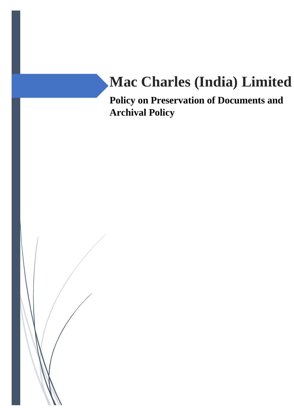# **Mac Charles (India) Limited**

**Policy on Preservation of Documents and Archival Policy**

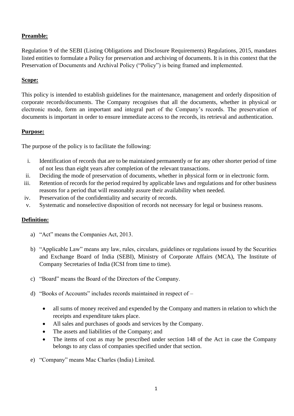# **Preamble:**

Regulation 9 of the SEBI (Listing Obligations and Disclosure Requirements) Regulations, 2015, mandates listed entities to formulate a Policy for preservation and archiving of documents. It is in this context that the Preservation of Documents and Archival Policy ("Policy") is being framed and implemented.

## **Scope:**

This policy is intended to establish guidelines for the maintenance, management and orderly disposition of corporate records/documents. The Company recognises that all the documents, whether in physical or electronic mode, form an important and integral part of the Company's records. The preservation of documents is important in order to ensure immediate access to the records, its retrieval and authentication.

## **Purpose:**

The purpose of the policy is to facilitate the following:

- i. Identification of records that are to be maintained permanently or for any other shorter period of time of not less than eight years after completion of the relevant transactions.
- ii. Deciding the mode of preservation of documents, whether in physical form or in electronic form.
- iii. Retention of records for the period required by applicable laws and regulations and for other business reasons for a period that will reasonably assure their availability when needed.
- iv. Preservation of the confidentiality and security of records.
- v. Systematic and nonselective disposition of records not necessary for legal or business reasons.

# **Definition:**

- a) "Act" means the Companies Act, 2013.
- b) "Applicable Law" means any law, rules, circulars, guidelines or regulations issued by the Securities and Exchange Board of India (SEBI), Ministry of Corporate Affairs (MCA), The Institute of Company Secretaries of India (ICSI from time to time).
- c) "Board" means the Board of the Directors of the Company.
- d) "Books of Accounts" includes records maintained in respect of
	- all sums of money received and expended by the Company and matters in relation to which the receipts and expenditure takes place.
	- All sales and purchases of goods and services by the Company.
	- The assets and liabilities of the Company; and
	- The items of cost as may be prescribed under section 148 of the Act in case the Company belongs to any class of companies specified under that section.
- e) "Company" means Mac Charles (India) Limited.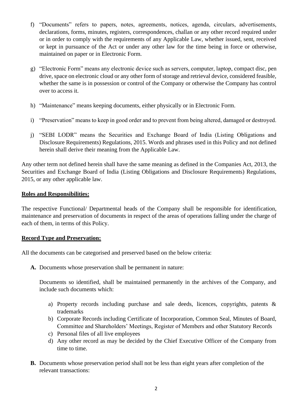- f) "Documents" refers to papers, notes, agreements, notices, agenda, circulars, advertisements, declarations, forms, minutes, registers, correspondences, challan or any other record required under or in order to comply with the requirements of any Applicable Law, whether issued, sent, received or kept in pursuance of the Act or under any other law for the time being in force or otherwise, maintained on paper or in Electronic Form.
- g) "Electronic Form" means any electronic device such as servers, computer, laptop, compact disc, pen drive, space on electronic cloud or any other form of storage and retrieval device, considered feasible, whether the same is in possession or control of the Company or otherwise the Company has control over to access it.
- h) "Maintenance" means keeping documents, either physically or in Electronic Form.
- i) "Preservation" means to keep in good order and to prevent from being altered, damaged or destroyed.
- j) "SEBI LODR" means the Securities and Exchange Board of India (Listing Obligations and Disclosure Requirements) Regulations, 2015. Words and phrases used in this Policy and not defined herein shall derive their meaning from the Applicable Law.

Any other term not defined herein shall have the same meaning as defined in the Companies Act, 2013, the Securities and Exchange Board of India (Listing Obligations and Disclosure Requirements) Regulations, 2015, or any other applicable law.

## **Roles and Responsibilities:**

The respective Functional/ Departmental heads of the Company shall be responsible for identification, maintenance and preservation of documents in respect of the areas of operations falling under the charge of each of them, in terms of this Policy.

## **Record Type and Preservation:**

All the documents can be categorised and preserved based on the below criteria:

**A.** Documents whose preservation shall be permanent in nature:

Documents so identified, shall be maintained permanently in the archives of the Company, and include such documents which:

- a) Property records including purchase and sale deeds, licences, copyrights, patents & trademarks
- b) Corporate Records including Certificate of Incorporation, Common Seal, Minutes of Board, Committee and Shareholders' Meetings, Register of Members and other Statutory Records
- c) Personal files of all live employees
- d) Any other record as may be decided by the Chief Executive Officer of the Company from time to time.
- **B.** Documents whose preservation period shall not be less than eight years after completion of the relevant transactions: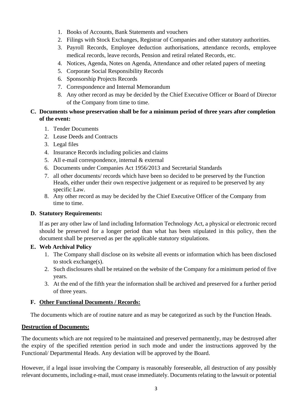- 1. Books of Accounts, Bank Statements and vouchers
- 2. Filings with Stock Exchanges, Registrar of Companies and other statutory authorities.
- 3. Payroll Records, Employee deduction authorisations, attendance records, employee medical records, leave records, Pension and retiral related Records, etc.
- 4. Notices, Agenda, Notes on Agenda, Attendance and other related papers of meeting
- 5. Corporate Social Responsibility Records
- 6. Sponsorship Projects Records
- 7. Correspondence and Internal Memorandum
- 8. Any other record as may be decided by the Chief Executive Officer or Board of Director of the Company from time to time.

## **C. Documents whose preservation shall be for a minimum period of three years after completion of the event:**

- 1. Tender Documents
- 2. Lease Deeds and Contracts
- 3. Legal files
- 4. Insurance Records including policies and claims
- 5. All e-mail correspondence, internal & external
- 6. Documents under Companies Act 1956/2013 and Secretarial Standards
- 7. all other documents/ records which have been so decided to be preserved by the Function Heads, either under their own respective judgement or as required to be preserved by any specific Law.
- 8. Any other record as may be decided by the Chief Executive Officer of the Company from time to time.

## **D. Statutory Requirements:**

If as per any other law of land including Information Technology Act, a physical or electronic record should be preserved for a longer period than what has been stipulated in this policy, then the document shall be preserved as per the applicable statutory stipulations.

## **E. Web Archival Policy**

- 1. The Company shall disclose on its website all events or information which has been disclosed to stock exchange(s).
- 2. Such disclosures shall be retained on the website of the Company for a minimum period of five years.
- 3. At the end of the fifth year the information shall be archived and preserved for a further period of three years.

## **F. Other Functional Documents / Records:**

The documents which are of routine nature and as may be categorized as such by the Function Heads.

## **Destruction of Documents:**

The documents which are not required to be maintained and preserved permanently, may be destroyed after the expiry of the specified retention period in such mode and under the instructions approved by the Functional/ Departmental Heads. Any deviation will be approved by the Board.

However, if a legal issue involving the Company is reasonably foreseeable, all destruction of any possibly relevant documents, including e-mail, must cease immediately. Documents relating to the lawsuit or potential